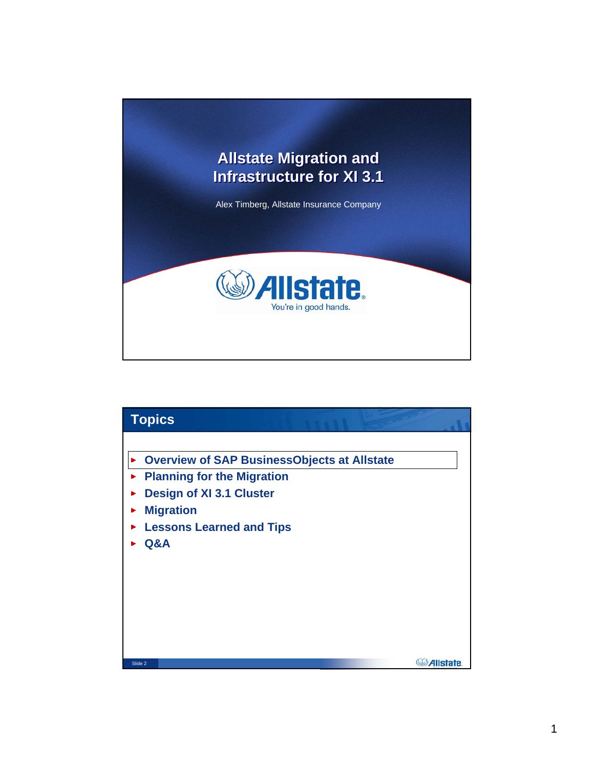

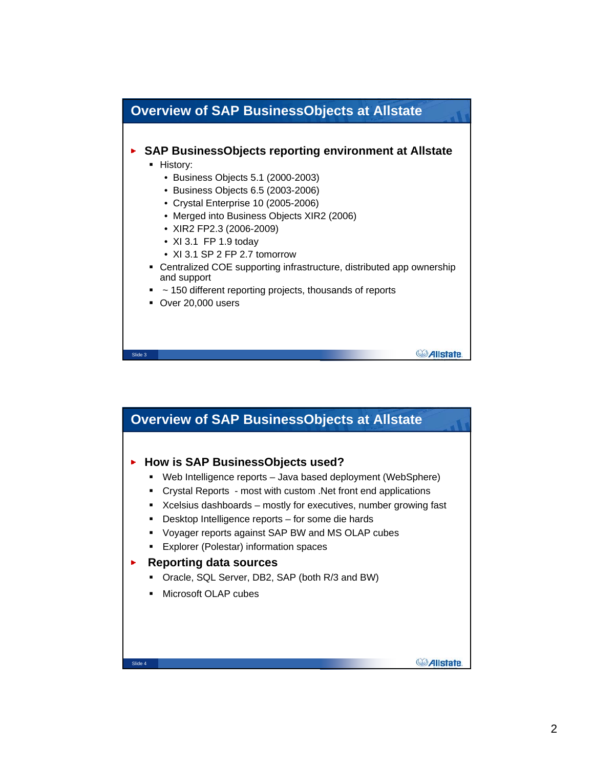

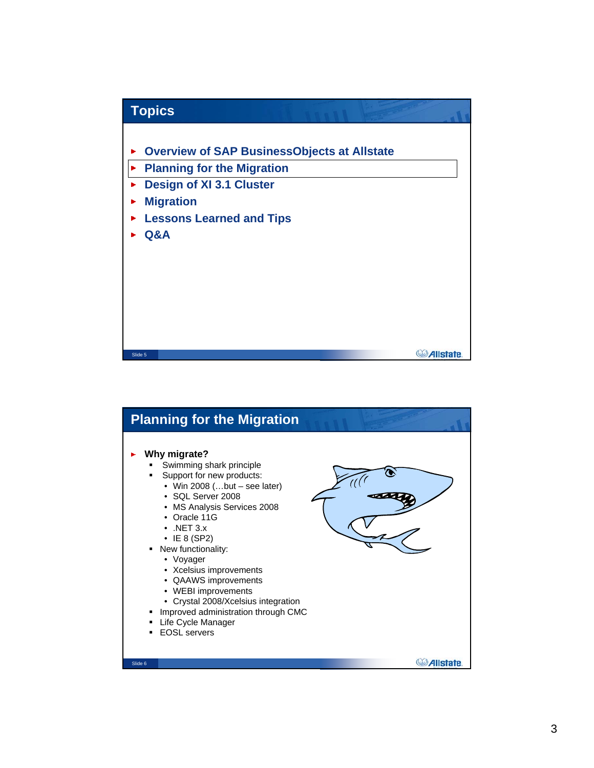

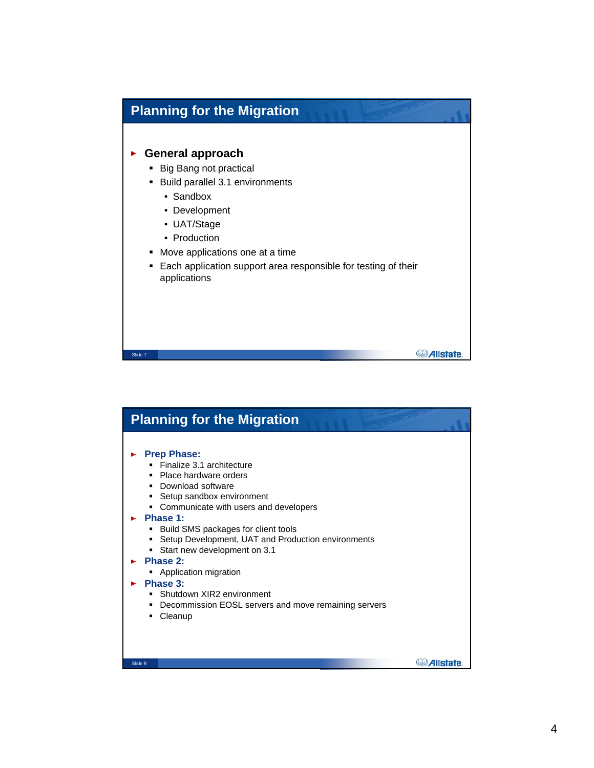## **Planning for the Migration**

## **General approach**

- **Big Bang not practical**
- Build parallel 3.1 environments
	- Sandbox
	- Development
	- UAT/Stage
	- Production

Slide 7

- Move applications one at a time
- **Each application support area responsible for testing of their** applications

*Allstate* 

## **Planning for the MigrationPrep Phase:** × Finalize 3.1 architecture • Place hardware orders **•** Download software **Setup sandbox environment Communicate with users and developers Phase 1: Build SMS packages for client tools Setup Development, UAT and Production environments**  Start new development on 3.1 **Phase 2:** × **Application migration Phase 3:** ь **Shutdown XIR2 environment • Decommission EOSL servers and move remaining servers** • Cleanup **C**Allstate Slide 8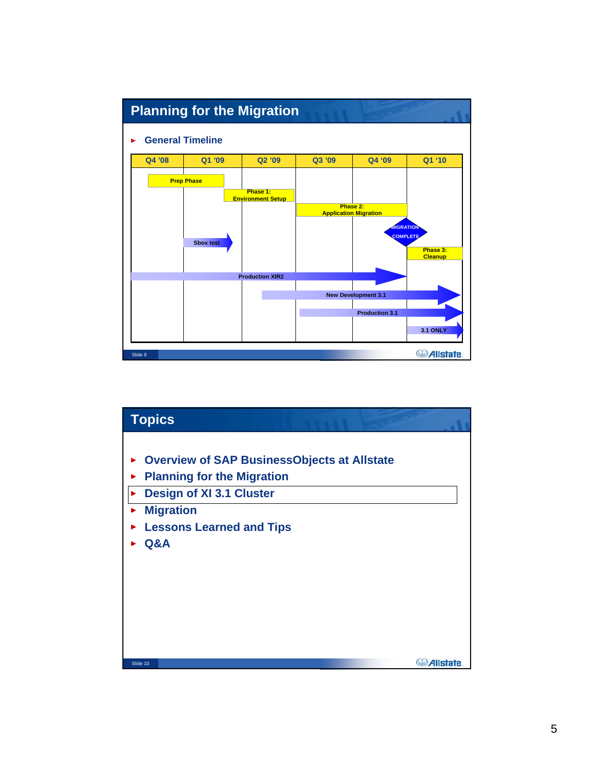

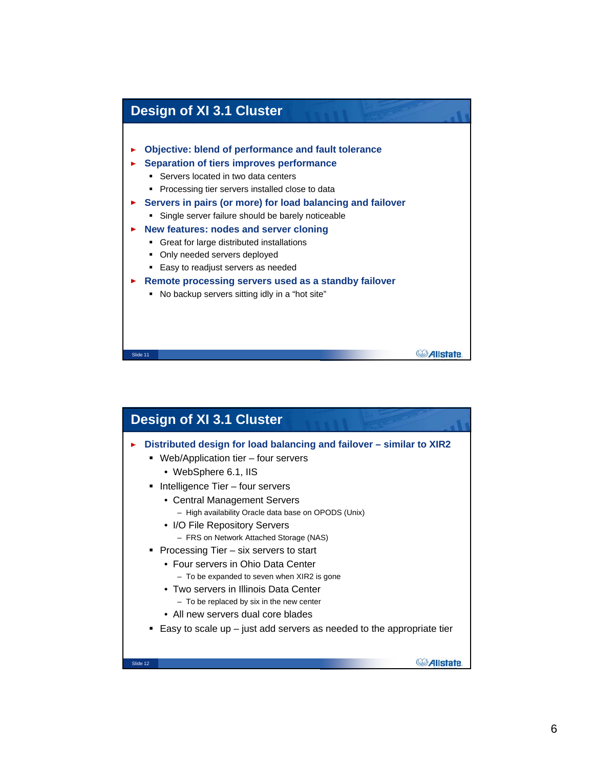

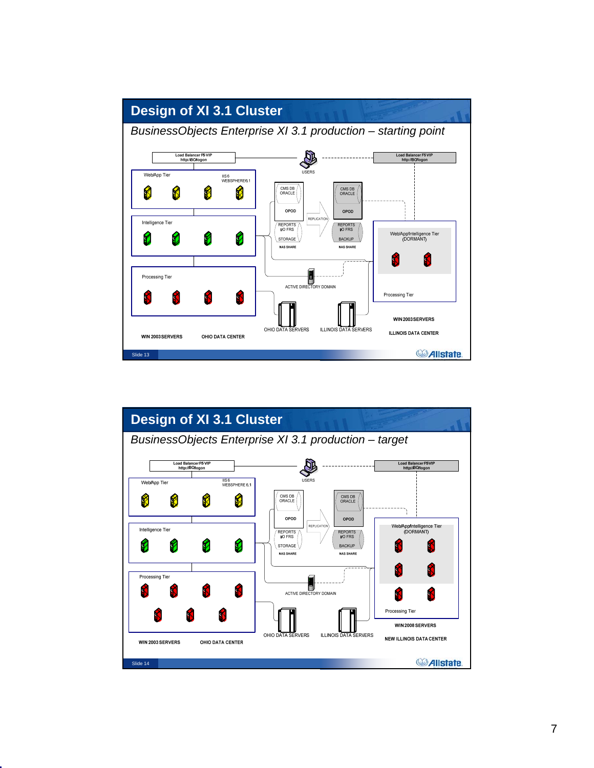

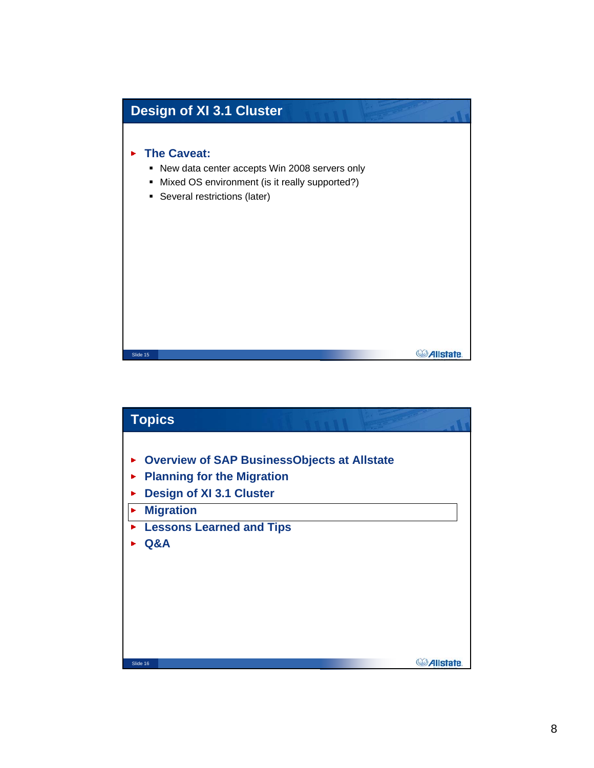

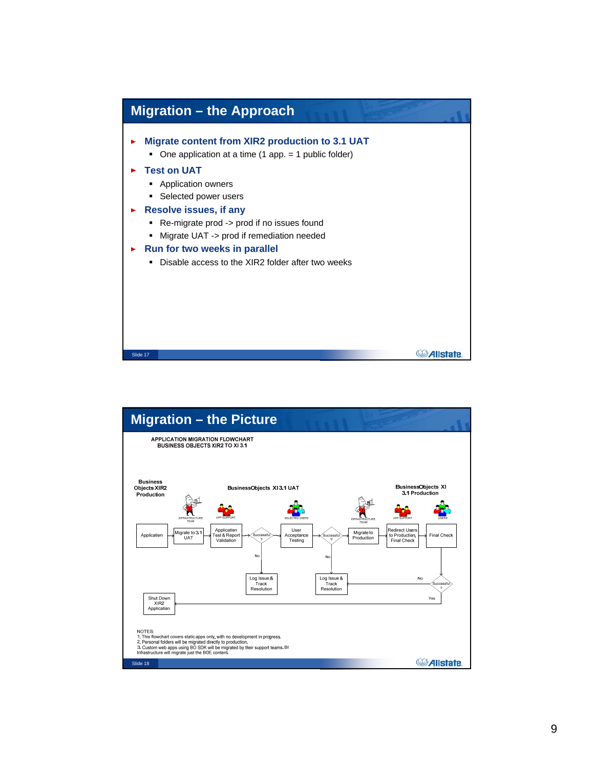

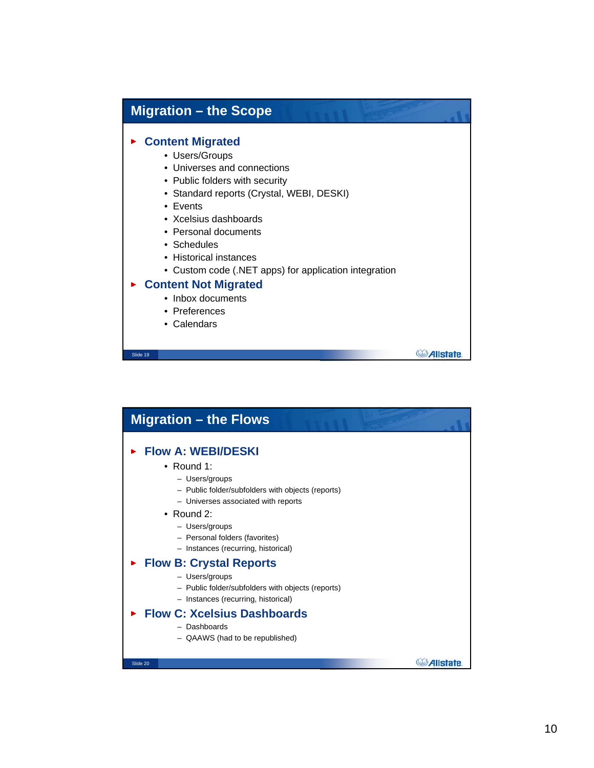## **Migration – the Scope Content Migrated** • Users/Groups • Universes and connections • Public folders with security • Standard reports (Crystal, WEBI, DESKI) • Events • Xcelsius dashboards • Personal documents • Schedules • Historical instances • Custom code (.NET apps) for application integration **Content Not Migrated** • Inbox documents • Preferences • Calendars **C**Allstate. Slide 19

| <b>Migration – the Flows</b>                                                                                                                                                                                                                                   |          |
|----------------------------------------------------------------------------------------------------------------------------------------------------------------------------------------------------------------------------------------------------------------|----------|
| <b>Flow A: WEBI/DESKI</b><br>• Round 1:<br>- Users/groups<br>- Public folder/subfolders with objects (reports)<br>- Universes associated with reports<br>• Round 2:<br>- Users/groups<br>- Personal folders (favorites)<br>- Instances (recurring, historical) |          |
| <b>Flow B: Crystal Reports</b><br>- Users/groups<br>- Public folder/subfolders with objects (reports)<br>- Instances (recurring, historical)<br><b>Flow C: Xcelsius Dashboards</b><br>- Dashboards<br>- QAAWS (had to be republished)                          |          |
| Slide 20                                                                                                                                                                                                                                                       | Allstate |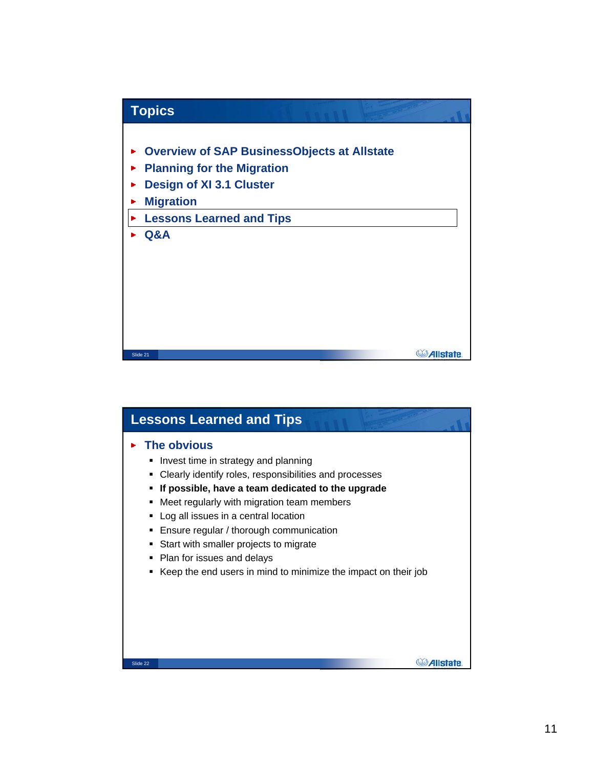

| <b>Lessons Learned and Tips</b>                                                                                                                                                                                                                                                                                                                                                                                                                                             |
|-----------------------------------------------------------------------------------------------------------------------------------------------------------------------------------------------------------------------------------------------------------------------------------------------------------------------------------------------------------------------------------------------------------------------------------------------------------------------------|
| The obvious<br>Invest time in strategy and planning<br>٠<br>Clearly identify roles, responsibilities and processes<br>٠<br>If possible, have a team dedicated to the upgrade<br>Meet regularly with migration team members<br>٠<br>Log all issues in a central location<br>٠<br>Ensure regular / thorough communication<br>Start with smaller projects to migrate<br>٠<br>Plan for issues and delays<br>٠<br>Keep the end users in mind to minimize the impact on their job |
| Slide 22                                                                                                                                                                                                                                                                                                                                                                                                                                                                    |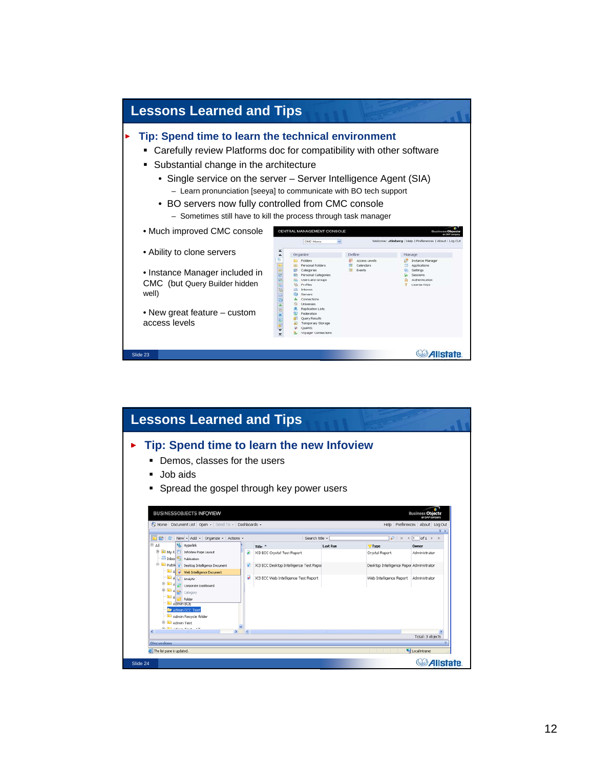

| <b>Lessons Learned and Tips</b>                                                                                                                                                                                           |                                               |                                          |                                                                                                                             |  |
|---------------------------------------------------------------------------------------------------------------------------------------------------------------------------------------------------------------------------|-----------------------------------------------|------------------------------------------|-----------------------------------------------------------------------------------------------------------------------------|--|
| Tip: Spend time to learn the new Infoview<br>Demos, classes for the users<br>Job aids<br>٠<br>Spread the gospel through key power users                                                                                   |                                               |                                          |                                                                                                                             |  |
| <b>BUSINESSOBJECTS INFOVIEW</b><br>Fe Home   Document List   Open +   Send To +   Dashboards +<br>D B & New - Add - Organize - Actions -                                                                                  | Search title -                                |                                          | <b>Rusiness Ob</b><br><b>MEAR</b> m<br>Help Preferences About Log Out<br>$\mathcal{P}$   $H$ $4$   $1$   of 1 $\rightarrow$ |  |
| ®-a∥<br><b>B</b> Hyperlink                                                                                                                                                                                                | Title $-$                                     | <b>Last Run</b><br>7 Type                | Owner                                                                                                                       |  |
| <b>B BB</b> My F. <b>B</b> Infolliew Page Layout                                                                                                                                                                          | XI3 ECC Crystal Test Report                   | Crystal Report                           | Administrator                                                                                                               |  |
| Inbox <sup>9</sup> n Publication<br>B- Desktop Intelligence Document<br>A Web Intelligence Document                                                                                                                       | XI3 ECC Desktop Intelligence Test Repor<br>₩. | Desktop Intelligence Repor Administrator |                                                                                                                             |  |
| $A \leftarrow$ Analytic<br>A 52 Corporate Dashboard<br>B B A 23 Category<br><b>Polder</b><br>Admin BOE<br>Admin ECC Test<br>Admin Recycle folder<br><b>B</b> Admin Test<br><b>College Advise Made and</b><br>$\mathbf{r}$ | XI3 ECC Web Intelligence Test Report          | Web Intelligence Report Administrator    |                                                                                                                             |  |
|                                                                                                                                                                                                                           |                                               |                                          | Total: 3 objects                                                                                                            |  |
| <b>Discussions</b><br>Local intranet<br><b>c</b> ) The list pane is updated.                                                                                                                                              |                                               |                                          |                                                                                                                             |  |
| Slide 24                                                                                                                                                                                                                  |                                               |                                          | <b><i>Allstate</i></b>                                                                                                      |  |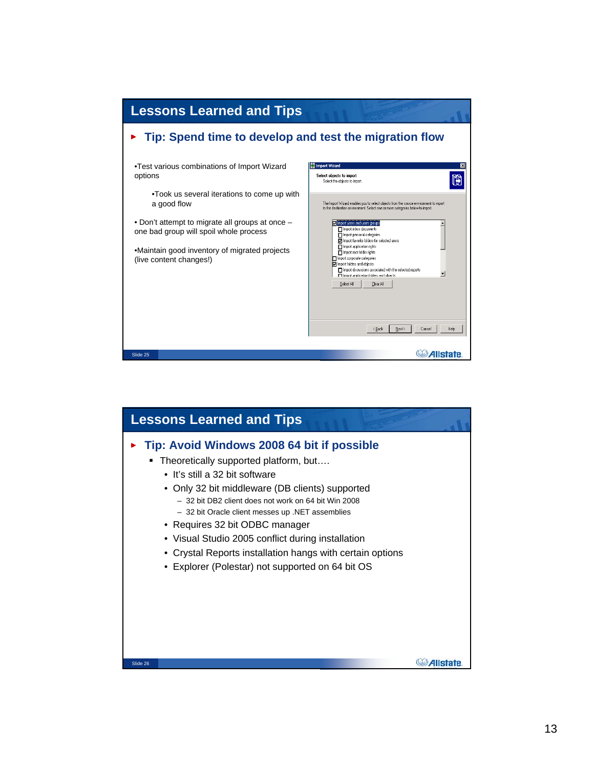

| <b>Lessons Learned and Tips</b>                                                                                                                                                                                                                                                                                                                                                                                                                                                              |  |
|----------------------------------------------------------------------------------------------------------------------------------------------------------------------------------------------------------------------------------------------------------------------------------------------------------------------------------------------------------------------------------------------------------------------------------------------------------------------------------------------|--|
| Tip: Avoid Windows 2008 64 bit if possible<br>Theoretically supported platform, but<br>• It's still a 32 bit software<br>• Only 32 bit middleware (DB clients) supported<br>- 32 bit DB2 client does not work on 64 bit Win 2008<br>- 32 bit Oracle client messes up .NET assemblies<br>• Requires 32 bit ODBC manager<br>• Visual Studio 2005 conflict during installation<br>• Crystal Reports installation hangs with certain options<br>• Explorer (Polestar) not supported on 64 bit OS |  |
| Slide 26                                                                                                                                                                                                                                                                                                                                                                                                                                                                                     |  |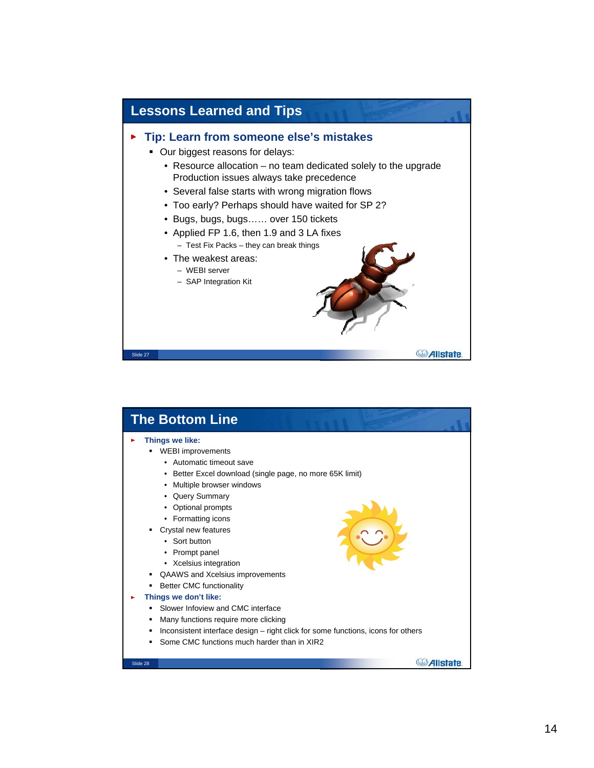

| <b>The Bottom Line</b>                                                                                                                                                                                                                                                                                                                                                                                                                                                                                                                                                                                                                                   |          |
|----------------------------------------------------------------------------------------------------------------------------------------------------------------------------------------------------------------------------------------------------------------------------------------------------------------------------------------------------------------------------------------------------------------------------------------------------------------------------------------------------------------------------------------------------------------------------------------------------------------------------------------------------------|----------|
| Things we like:<br><b>WEBI</b> improvements<br>• Automatic timeout save<br>• Better Excel download (single page, no more 65K limit)<br>Multiple browser windows<br>• Query Summary<br>• Optional prompts<br>• Formatting icons<br>Crystal new features<br>• Sort button<br>• Prompt panel<br>• Xcelsius integration<br><b>QAAWS</b> and Xcelsius improvements<br>٠<br><b>Better CMC functionality</b><br>Things we don't like:<br>Slower Infoview and CMC interface<br>Many functions require more clicking<br>٠<br>Inconsistent interface design – right click for some functions, icons for others<br>٠<br>Some CMC functions much harder than in XIR2 |          |
| Slide 28                                                                                                                                                                                                                                                                                                                                                                                                                                                                                                                                                                                                                                                 | Allstate |